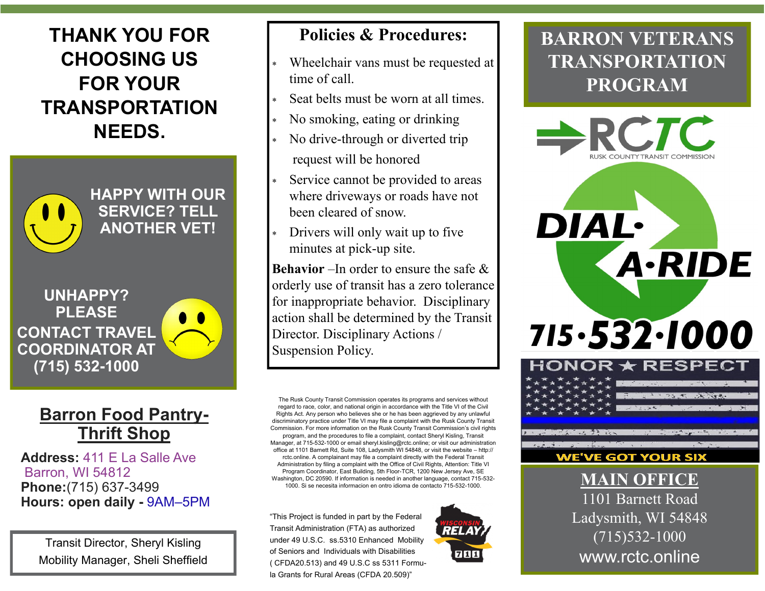# **THANK YOU FOR CHOOSING US FOR YOUR TRANSPORTATION NEEDS.**



**HAPPY WITH OUR SERVICE? TELL ANOTHER VET!**

**UNHAPPY? PLEASE CONTACT TRAVEL COORDINATOR AT (715) 532-1000**

#### **Barron Food Pantry-Thrift Shop**

**Address:** 411 E La Salle Ave Barron, WI 54812 **Phone:**(715) 637-3499 **Hours: open daily -** 9AM–5PM

Transit Director, Sheryl Kisling Mobility Manager, Sheli Sheffield

#### **Policies & Procedures:**

- Wheelchair vans must be requested at time of call.
- Seat belts must be worn at all times.
- No smoking, eating or drinking
- No drive-through or diverted trip request will be honored
- Service cannot be provided to areas where driveways or roads have not been cleared of snow.
- Drivers will only wait up to five minutes at pick-up site.

**Behavior** –In order to ensure the safe & orderly use of transit has a zero tolerance for inappropriate behavior. Disciplinary action shall be determined by the Transit Director. Disciplinary Actions / Suspension Policy.

The Rusk County Transit Commission operates its programs and services without regard to race, color, and national origin in accordance with the Title VI of the Civil Rights Act. Any person who believes she or he has been aggrieved by any unlawful discriminatory practice under Title VI may file a complaint with the Rusk County Transit Commission. For more information on the Rusk County Transit Commission's civil rights program, and the procedures to file a complaint, contact Sheryl Kisling, Transit Manager, at 715-532-1000 or email sheryl.kisling@rctc.online; or visit our administration office at 1101 Barnett Rd, Suite 108, Ladysmith WI 54848, or visit the website – http:// rctc.online. A complainant may file a complaint directly with the Federal Transit Administration by filing a complaint with the Office of Civil Rights, Attention: Title VI Program Coordinator, East Building, 5th Floor-TCR, 1200 New Jersey Ave, SE Washington, DC 20590. If information is needed in another language, contact 715-532- 1000. Si se necesita informacion en ontro idioma de contacto 715-532-1000.

"This Project is funded in part by the Federal Transit Administration (FTA) as authorized under 49 U.S.C. ss.5310 Enhanced Mobility of Seniors and Individuals with Disabilities ( CFDA20.513) and 49 U.S.C ss 5311 Formula Grants for Rural Areas (CFDA 20.509)"



## **BARRON VETERANS TRANSPORTATION PROGRAM**



1101 Barnett Road Ladysmith, WI 54848 (715)532-1000 www.rctc.online